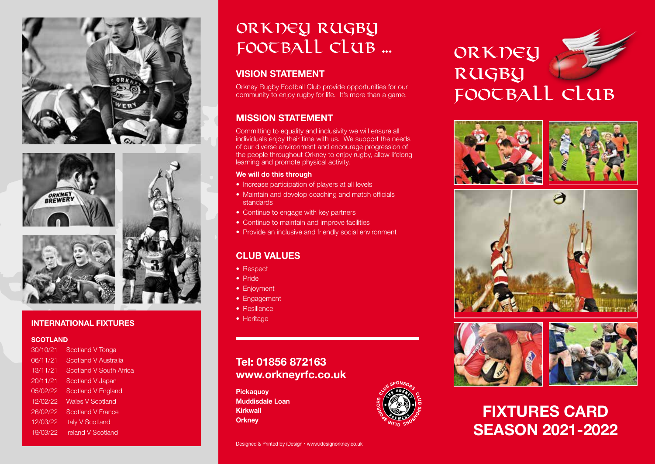





#### **INTERNATIONAL FIXTURES**

#### **SCOTLAND**

30/10/21 Scotland V Tonga 06/11/21 Scotland V Australia 13/11/21 Scotland V South Africa 20/11/21 Scotland V Japan 05/02/22 Scotland V England 12/02/22 Wales V Scotland 26/02/22 Scotland V France 12/03/22 Italy V Scotland 19/03/22 Ireland V Scotland

# Orkney Rugby FOOTBALL CLUB ...

#### **VISION STATEMENT**

Orkney Rugby Football Club provide opportunities for our community to enjoy rugby for life. It's more than a game.

#### **MISSION STATEMENT**

Committing to equality and inclusivity we will ensure all individuals enjoy their time with us. We support the needs of our diverse environment and encourage progression of the people throughout Orkney to enjoy rugby, allow lifelong learning and promote physical activity.

#### **We will do this through**

- Increase participation of players at all levels
- Maintain and develop coaching and match officials standards
- Continue to engage with key partners
- Continue to maintain and improve facilities
- Provide an inclusive and friendly social environment

#### **CLUB VALUES**

- Respect
- Pride
- Enjoyment
- Engagement
- Resilience
- Heritage

### **Tel: 01856 872163 www.orkneyrfc.co.uk**

**Pickaquoy Muddisdale Loan Kirkwall Orkney** 



# ORKNEY RUGBU football club









# **FIXTURES CARD SEASON 2021-2022**